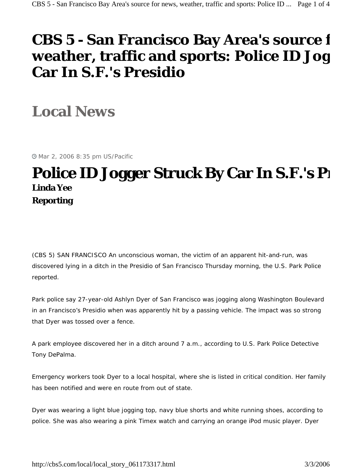## **CBS 5 - San Francisco Bay Area's source f weather, traffic and sports: Police ID Jog Car In S.F.'s Presidio**

**Local News** 

Mar 2, 2006 8:35 pm US/Pacific

## **Police ID Jogger Struck By Car In S.F.'s P Linda Yee Reporting**

*(CBS 5) SAN FRANCISCO* An unconscious woman, the victim of an apparent hit-and-run, was discovered lying in a ditch in the Presidio of San Francisco Thursday morning, the U.S. Park Police reported.

Park police say 27-year-old Ashlyn Dyer of San Francisco was jogging along Washington Boulevard in an Francisco's Presidio when was apparently hit by a passing vehicle. The impact was so strong that Dyer was tossed over a fence.

A park employee discovered her in a ditch around 7 a.m., according to U.S. Park Police Detective Tony DePalma.

Emergency workers took Dyer to a local hospital, where she is listed in critical condition. Her family has been notified and were en route from out of state.

Dyer was wearing a light blue jogging top, navy blue shorts and white running shoes, according to police. She was also wearing a pink Timex watch and carrying an orange iPod music player. Dyer